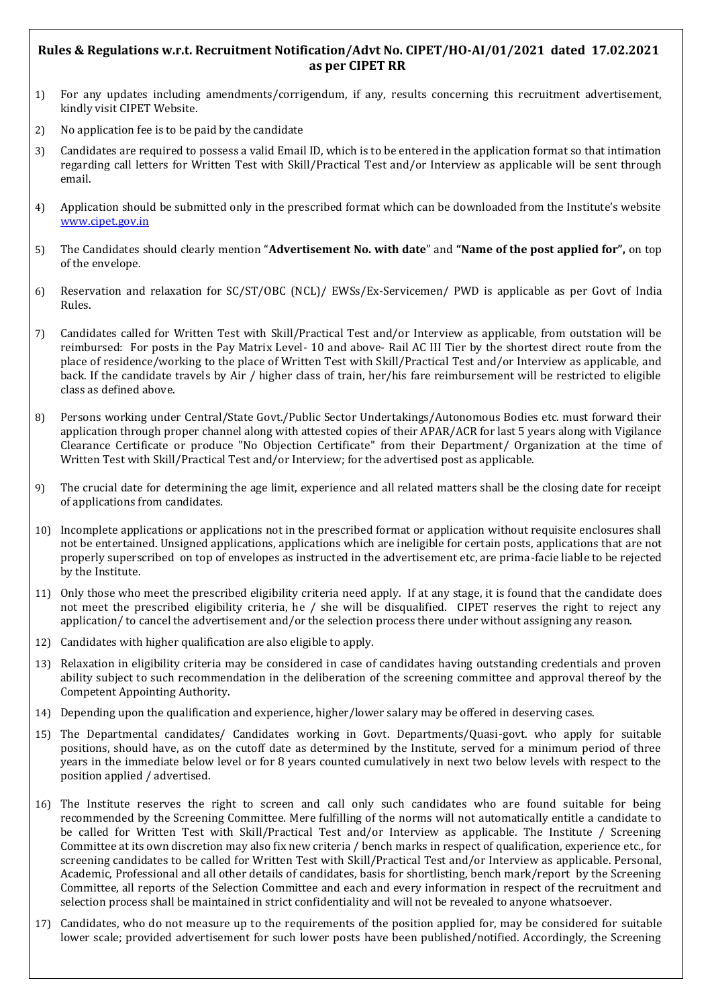# **Rules & Regulations w.r.t. Recruitment Notification/Advt No. CIPET/HO-AI/01/2021 dated 17.02.2021 as per CIPET RR**

- 1) For any updates including amendments/corrigendum, if any, results concerning this recruitment advertisement, kindly visit CIPET Website.
- 2) No application fee is to be paid by the candidate
- 3) Candidates are required to possess a valid Email ID, which is to be entered in the application format so that intimation regarding call letters for Written Test with Skill/Practical Test and/or Interview as applicable will be sent through email.
- 4) Application should be submitted only in the prescribed format which can be downloaded from the Institute's website [www.cipet.gov.in](http://www.cipet.gov.in/)
- 5) The Candidates should clearly mention "**Advertisement No. with date**" and **"Name of the post applied for",** on top of the envelope.
- 6) Reservation and relaxation for SC/ST/OBC (NCL)/ EWSs/Ex-Servicemen/ PWD is applicable as per Govt of India Rules.
- 7) Candidates called for Written Test with Skill/Practical Test and/or Interview as applicable, from outstation will be reimbursed: For posts in the Pay Matrix Level- 10 and above- Rail AC III Tier by the shortest direct route from the place of residence/working to the place of Written Test with Skill/Practical Test and/or Interview as applicable, and back. If the candidate travels by Air / higher class of train, her/his fare reimbursement will be restricted to eligible class as defined above.
- 8) Persons working under Central/State Govt./Public Sector Undertakings/Autonomous Bodies etc. must forward their application through proper channel along with attested copies of their APAR/ACR for last 5 years along with Vigilance Clearance Certificate or produce "No Objection Certificate" from their Department/ Organization at the time of Written Test with Skill/Practical Test and/or Interview; for the advertised post as applicable.
- 9) The crucial date for determining the age limit, experience and all related matters shall be the closing date for receipt of applications from candidates.
- 10) Incomplete applications or applications not in the prescribed format or application without requisite enclosures shall not be entertained. Unsigned applications, applications which are ineligible for certain posts, applications that are not properly superscribed on top of envelopes as instructed in the advertisement etc, are prima-facie liable to be rejected by the Institute.
- 11) Only those who meet the prescribed eligibility criteria need apply. If at any stage, it is found that the candidate does not meet the prescribed eligibility criteria, he / she will be disqualified. CIPET reserves the right to reject any application/ to cancel the advertisement and/or the selection process there under without assigning any reason.
- 12) Candidates with higher qualification are also eligible to apply.
- 13) Relaxation in eligibility criteria may be considered in case of candidates having outstanding credentials and proven ability subject to such recommendation in the deliberation of the screening committee and approval thereof by the Competent Appointing Authority.
- 14) Depending upon the qualification and experience, higher/lower salary may be offered in deserving cases.
- 15) The Departmental candidates/ Candidates working in Govt. Departments/Quasi-govt. who apply for suitable positions, should have, as on the cutoff date as determined by the Institute, served for a minimum period of three years in the immediate below level or for 8 years counted cumulatively in next two below levels with respect to the position applied / advertised.
- 16) The Institute reserves the right to screen and call only such candidates who are found suitable for being recommended by the Screening Committee. Mere fulfilling of the norms will not automatically entitle a candidate to be called for Written Test with Skill/Practical Test and/or Interview as applicable. The Institute / Screening Committee at its own discretion may also fix new criteria / bench marks in respect of qualification, experience etc., for screening candidates to be called for Written Test with Skill/Practical Test and/or Interview as applicable. Personal, Academic, Professional and all other details of candidates, basis for shortlisting, bench mark/report by the Screening Committee, all reports of the Selection Committee and each and every information in respect of the recruitment and selection process shall be maintained in strict confidentiality and will not be revealed to anyone whatsoever.
- 17) Candidates, who do not measure up to the requirements of the position applied for, may be considered for suitable lower scale; provided advertisement for such lower posts have been published/notified. Accordingly, the Screening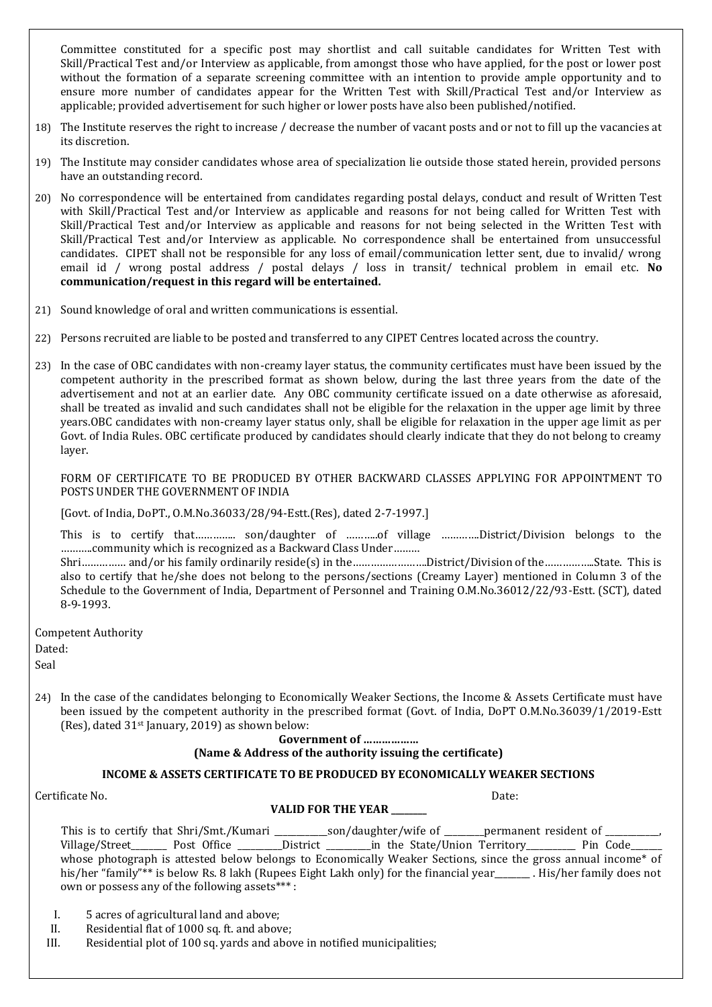Committee constituted for a specific post may shortlist and call suitable candidates for Written Test with Skill/Practical Test and/or Interview as applicable, from amongst those who have applied, for the post or lower post without the formation of a separate screening committee with an intention to provide ample opportunity and to ensure more number of candidates appear for the Written Test with Skill/Practical Test and/or Interview as applicable; provided advertisement for such higher or lower posts have also been published/notified.

- 18) The Institute reserves the right to increase / decrease the number of vacant posts and or not to fill up the vacancies at its discretion.
- 19) The Institute may consider candidates whose area of specialization lie outside those stated herein, provided persons have an outstanding record.
- 20) No correspondence will be entertained from candidates regarding postal delays, conduct and result of Written Test with Skill/Practical Test and/or Interview as applicable and reasons for not being called for Written Test with Skill/Practical Test and/or Interview as applicable and reasons for not being selected in the Written Test with Skill/Practical Test and/or Interview as applicable. No correspondence shall be entertained from unsuccessful candidates. CIPET shall not be responsible for any loss of email/communication letter sent, due to invalid/ wrong email id / wrong postal address / postal delays / loss in transit/ technical problem in email etc. **No communication/request in this regard will be entertained.**
- 21) Sound knowledge of oral and written communications is essential.
- 22) Persons recruited are liable to be posted and transferred to any CIPET Centres located across the country.
- 23) In the case of OBC candidates with non-creamy layer status, the community certificates must have been issued by the competent authority in the prescribed format as shown below, during the last three years from the date of the advertisement and not at an earlier date. Any OBC community certificate issued on a date otherwise as aforesaid, shall be treated as invalid and such candidates shall not be eligible for the relaxation in the upper age limit by three years.OBC candidates with non-creamy layer status only, shall be eligible for relaxation in the upper age limit as per Govt. of India Rules. OBC certificate produced by candidates should clearly indicate that they do not belong to creamy layer.

FORM OF CERTIFICATE TO BE PRODUCED BY OTHER BACKWARD CLASSES APPLYING FOR APPOINTMENT TO POSTS UNDER THE GOVERNMENT OF INDIA

[Govt. of India, DoPT., O.M.No.36033/28/94-Estt.(Res), dated 2-7-1997.]

This is to certify that………….. son/daughter of ………...of village ………….District/Division belongs to the ………..community which is recognized as a Backward Class Under………

Shri…………… and/or his family ordinarily reside(s) in the…………………….District/Division of the……………..State. This is also to certify that he/she does not belong to the persons/sections (Creamy Layer) mentioned in Column 3 of the Schedule to the Government of India, Department of Personnel and Training O.M.No.36012/22/93-Estt. (SCT), dated 8-9-1993.

Competent Authority Dated: Seal

24) In the case of the candidates belonging to Economically Weaker Sections, the Income & Assets Certificate must have been issued by the competent authority in the prescribed format (Govt. of India, DoPT O.M.No.36039/1/2019-Estt (Res), dated  $31$ <sup>st</sup> January, 2019) as shown below:

#### **Government of ………………**

### **(Name & Address of the authority issuing the certificate)**

## **INCOME & ASSETS CERTIFICATE TO BE PRODUCED BY ECONOMICALLY WEAKER SECTIONS**

Certificate No. Date:

### **VALID FOR THE YEAR \_\_\_\_\_\_\_\_**

|                                                | This is to certify that Shri/Smt./Kumari |  | _son/daughter/wife of _______ permanent resident of ____________                                              |  |                           |
|------------------------------------------------|------------------------------------------|--|---------------------------------------------------------------------------------------------------------------|--|---------------------------|
|                                                |                                          |  | Village/Street Post Office District in the State/Union Territory Pin Code                                     |  |                           |
|                                                |                                          |  | whose photograph is attested below belongs to Economically Weaker Sections, since the gross annual income* of |  |                           |
|                                                |                                          |  | his/her "family"** is below Rs. 8 lakh (Rupees Eight Lakh only) for the financial year                        |  | . His/her family does not |
| own or possess any of the following assets***: |                                          |  |                                                                                                               |  |                           |

- I. 5 acres of agricultural land and above;
- II. Residential flat of 1000 sq. ft. and above;
- III. Residential plot of 100 sq. yards and above in notified municipalities;